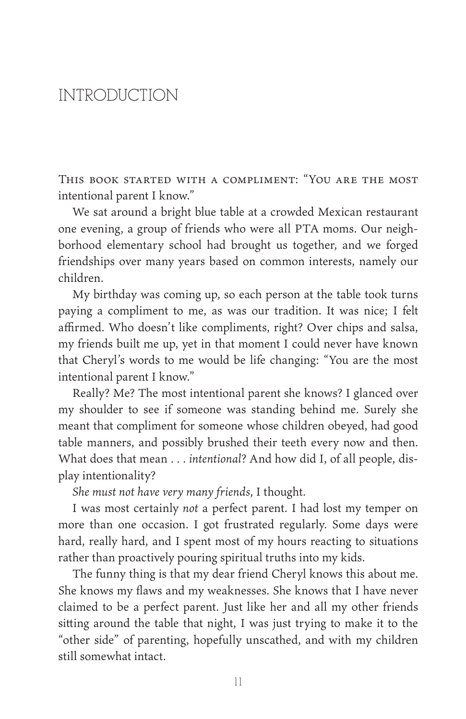### INTRODUCTION

This book started with a compliment: "You are the most intentional parent I know."

We sat around a bright blue table at a crowded Mexican restaurant one evening, a group of friends who were all PTA moms. Our neighborhood elementary school had brought us together, and we forged friendships over many years based on common interests, namely our children.

My birthday was coming up, so each person at the table took turns paying a compliment to me, as was our tradition. It was nice; I felt affirmed. Who doesn't like compliments, right? Over chips and salsa, my friends built me up, yet in that moment I could never have known that Cheryl's words to me would be life changing: "You are the most intentional parent I know."

Really? Me? The most intentional parent she knows? I glanced over my shoulder to see if someone was standing behind me. Surely she meant that compliment for someone whose children obeyed, had good table manners, and possibly brushed their teeth every now and then. What does that mean . . . *intentional*? And how did I, of all people, display intentionality?

*She must not have very many friends*, I thought.

I was most certainly *not* a perfect parent. I had lost my temper on more than one occasion. I got frustrated regularly. Some days were hard, really hard, and I spent most of my hours reacting to situations rather than proactively pouring spiritual truths into my kids.

The funny thing is that my dear friend Cheryl knows this about me. She knows my flaws and my weaknesses. She knows that I have never claimed to be a perfect parent. Just like her and all my other friends sitting around the table that night, I was just trying to make it to the "other side" of parenting, hopefully unscathed, and with my children still somewhat intact.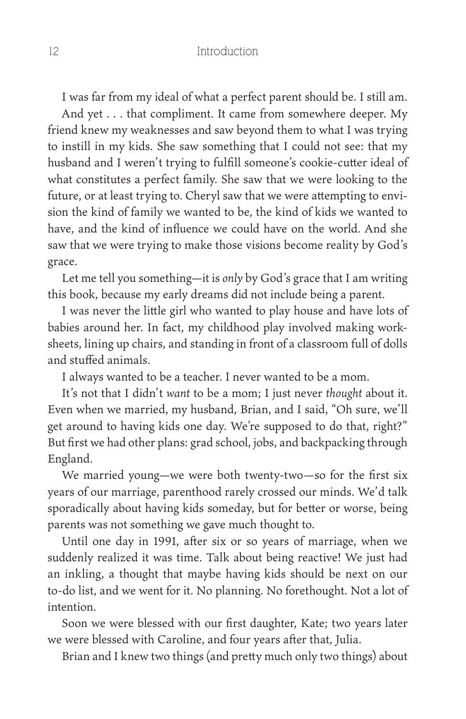### 12 Introduction

I was far from my ideal of what a perfect parent should be. I still am. And yet . . . that compliment. It came from somewhere deeper. My friend knew my weaknesses and saw beyond them to what I was trying to instill in my kids. She saw something that I could not see: that my husband and I weren't trying to fulfill someone's cookie-cutter ideal of what constitutes a perfect family. She saw that we were looking to the future, or at least trying to. Cheryl saw that we were attempting to envision the kind of family we wanted to be, the kind of kids we wanted to have, and the kind of influence we could have on the world. And she saw that we were trying to make those visions become reality by God's grace.

Let me tell you something—it is *only* by God's grace that I am writing this book, because my early dreams did not include being a parent.

I was never the little girl who wanted to play house and have lots of babies around her. In fact, my childhood play involved making worksheets, lining up chairs, and standing in front of a classroom full of dolls and stuffed animals.

I always wanted to be a teacher. I never wanted to be a mom.

It's not that I didn't *want* to be a mom; I just never *thought* about it. Even when we married, my husband, Brian, and I said, "Oh sure, we'll get around to having kids one day. We're supposed to do that, right?" But first we had other plans: grad school, jobs, and backpacking through England.

We married young—we were both twenty-two—so for the first six years of our marriage, parenthood rarely crossed our minds. We'd talk sporadically about having kids someday, but for better or worse, being parents was not something we gave much thought to.

Until one day in 1991, after six or so years of marriage, when we suddenly realized it was time. Talk about being reactive! We just had an inkling, a thought that maybe having kids should be next on our to-do list, and we went for it. No planning. No forethought. Not a lot of intention.

Soon we were blessed with our first daughter, Kate; two years later we were blessed with Caroline, and four years after that, Julia.

Brian and I knew two things (and pretty much only two things) about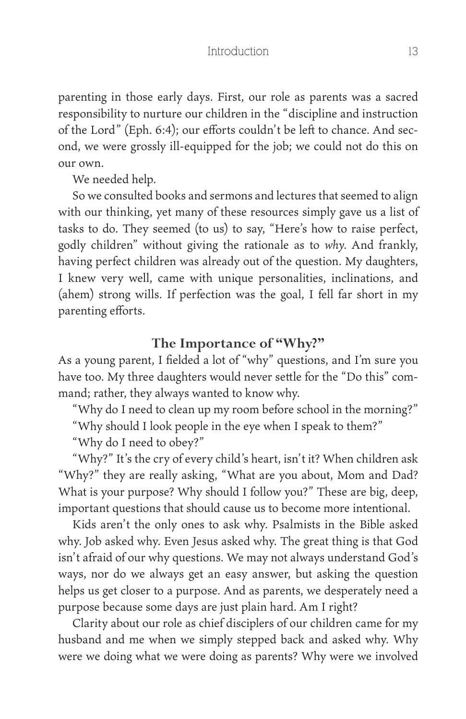### Introduction 13

parenting in those early days. First, our role as parents was a sacred responsibility to nurture our children in the "discipline and instruction of the Lord" (Eph. 6:4); our efforts couldn't be left to chance. And second, we were grossly ill-equipped for the job; we could not do this on our own.

We needed help.

So we consulted books and sermons and lectures that seemed to align with our thinking, yet many of these resources simply gave us a list of tasks to do. They seemed (to us) to say, "Here's how to raise perfect, godly children" without giving the rationale as to *why*. And frankly, having perfect children was already out of the question. My daughters, I knew very well, came with unique personalities, inclinations, and (ahem) strong wills. If perfection was the goal, I fell far short in my parenting efforts.

### **The Importance of "Why?"**

As a young parent, I fielded a lot of "why" questions, and I'm sure you have too. My three daughters would never settle for the "Do this" command; rather, they always wanted to know why.

"Why do I need to clean up my room before school in the morning?"

"Why should I look people in the eye when I speak to them?"

"Why do I need to obey?"

"Why?" It's the cry of every child's heart, isn't it? When children ask "Why?" they are really asking, "What are you about, Mom and Dad? What is your purpose? Why should I follow you?" These are big, deep, important questions that should cause us to become more intentional.

Kids aren't the only ones to ask why. Psalmists in the Bible asked why. Job asked why. Even Jesus asked why. The great thing is that God isn't afraid of our why questions. We may not always understand God's ways, nor do we always get an easy answer, but asking the question helps us get closer to a purpose. And as parents, we desperately need a purpose because some days are just plain hard. Am I right?

Clarity about our role as chief disciplers of our children came for my husband and me when we simply stepped back and asked why. Why were we doing what we were doing as parents? Why were we involved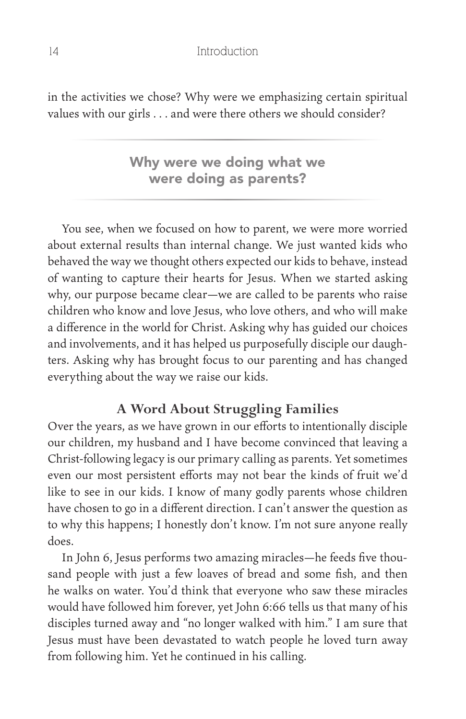in the activities we chose? Why were we emphasizing certain spiritual values with our girls . . . and were there others we should consider?

> Why were we doing what we were doing as parents?

You see, when we focused on how to parent, we were more worried about external results than internal change. We just wanted kids who behaved the way we thought others expected our kids to behave, instead of wanting to capture their hearts for Jesus. When we started asking why, our purpose became clear—we are called to be parents who raise children who know and love Jesus, who love others, and who will make a difference in the world for Christ. Asking why has guided our choices and involvements, and it has helped us purposefully disciple our daughters. Asking why has brought focus to our parenting and has changed everything about the way we raise our kids.

### **A Word About Struggling Families**

Over the years, as we have grown in our efforts to intentionally disciple our children, my husband and I have become convinced that leaving a Christ-following legacy is our primary calling as parents. Yet sometimes even our most persistent efforts may not bear the kinds of fruit we'd like to see in our kids. I know of many godly parents whose children have chosen to go in a different direction. I can't answer the question as to why this happens; I honestly don't know. I'm not sure anyone really does.

In John 6, Jesus performs two amazing miracles—he feeds five thousand people with just a few loaves of bread and some fish, and then he walks on water. You'd think that everyone who saw these miracles would have followed him forever, yet John 6:66 tells us that many of his disciples turned away and "no longer walked with him." I am sure that Jesus must have been devastated to watch people he loved turn away from following him. Yet he continued in his calling.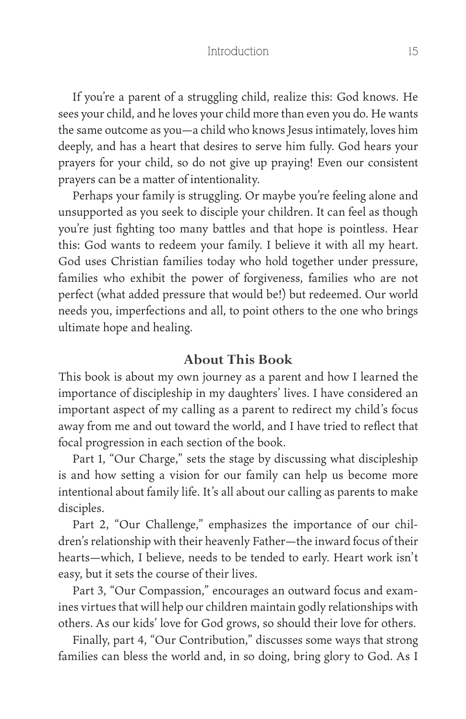### Introduction 15

If you're a parent of a struggling child, realize this: God knows. He sees your child, and he loves your child more than even you do. He wants the same outcome as you—a child who knows Jesus intimately, loves him deeply, and has a heart that desires to serve him fully. God hears your prayers for your child, so do not give up praying! Even our consistent prayers can be a matter of intentionality.

Perhaps your family is struggling. Or maybe you're feeling alone and unsupported as you seek to disciple your children. It can feel as though you're just fighting too many battles and that hope is pointless. Hear this: God wants to redeem your family. I believe it with all my heart. God uses Christian families today who hold together under pressure, families who exhibit the power of forgiveness, families who are not perfect (what added pressure that would be!) but redeemed. Our world needs you, imperfections and all, to point others to the one who brings ultimate hope and healing.

### **About This Book**

This book is about my own journey as a parent and how I learned the importance of discipleship in my daughters' lives. I have considered an important aspect of my calling as a parent to redirect my child's focus away from me and out toward the world, and I have tried to reflect that focal progression in each section of the book.

Part 1, "Our Charge," sets the stage by discussing what discipleship is and how setting a vision for our family can help us become more intentional about family life. It's all about our calling as parents to make disciples.

Part 2, "Our Challenge," emphasizes the importance of our children's relationship with their heavenly Father—the inward focus of their hearts—which, I believe, needs to be tended to early. Heart work isn't easy, but it sets the course of their lives.

Part 3, "Our Compassion," encourages an outward focus and examines virtues that will help our children maintain godly relationships with others. As our kids' love for God grows, so should their love for others.

Finally, part 4, "Our Contribution," discusses some ways that strong families can bless the world and, in so doing, bring glory to God. As I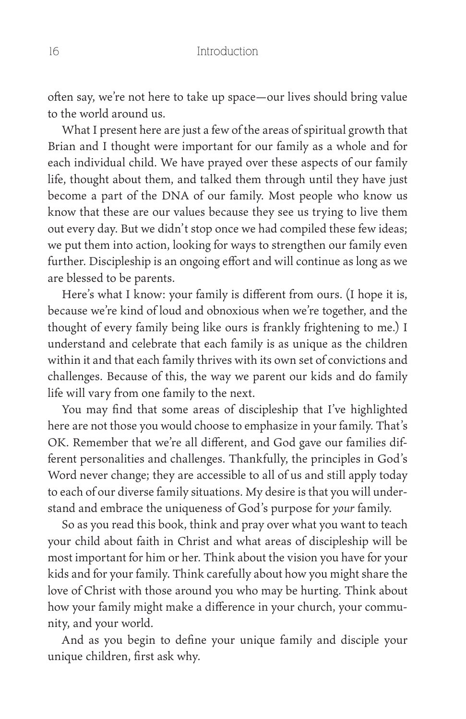often say, we're not here to take up space—our lives should bring value to the world around us.

What I present here are just a few of the areas of spiritual growth that Brian and I thought were important for our family as a whole and for each individual child. We have prayed over these aspects of our family life, thought about them, and talked them through until they have just become a part of the DNA of our family. Most people who know us know that these are our values because they see us trying to live them out every day. But we didn't stop once we had compiled these few ideas; we put them into action, looking for ways to strengthen our family even further. Discipleship is an ongoing effort and will continue as long as we are blessed to be parents.

Here's what I know: your family is different from ours. (I hope it is, because we're kind of loud and obnoxious when we're together, and the thought of every family being like ours is frankly frightening to me.) I understand and celebrate that each family is as unique as the children within it and that each family thrives with its own set of convictions and challenges. Because of this, the way we parent our kids and do family life will vary from one family to the next.

You may find that some areas of discipleship that I've highlighted here are not those you would choose to emphasize in your family. That's OK. Remember that we're all different, and God gave our families different personalities and challenges. Thankfully, the principles in God's Word never change; they are accessible to all of us and still apply today to each of our diverse family situations. My desire is that you will understand and embrace the uniqueness of God's purpose for *your* family.

So as you read this book, think and pray over what you want to teach your child about faith in Christ and what areas of discipleship will be most important for him or her. Think about the vision you have for your kids and for your family. Think carefully about how you might share the love of Christ with those around you who may be hurting. Think about how your family might make a difference in your church, your community, and your world.

And as you begin to define your unique family and disciple your unique children, first ask why.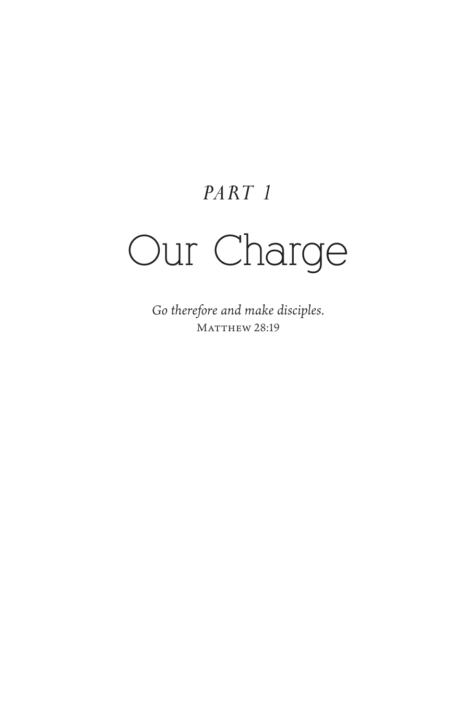### *PART 1*

# Our Charge

*Go therefore and make disciples.* MATTHEW 28:19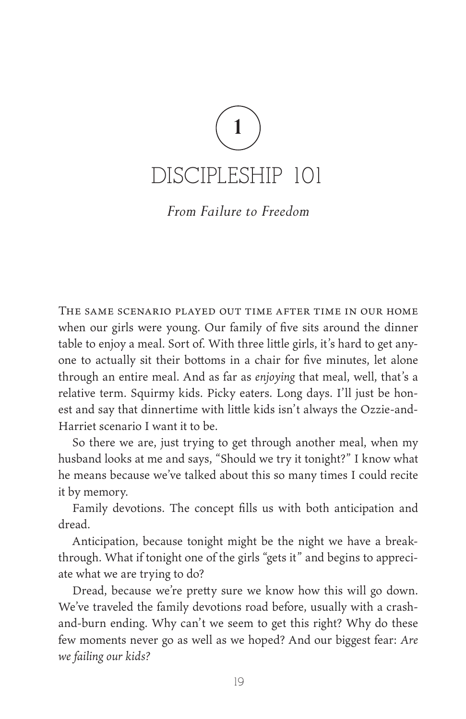## **1** DISCIPLESHIP 101

*From Failure to Freedom*

The same scenario played out time after time in our home when our girls were young. Our family of five sits around the dinner table to enjoy a meal. Sort of. With three little girls, it's hard to get anyone to actually sit their bottoms in a chair for five minutes, let alone through an entire meal. And as far as *enjoying* that meal, well, that's a relative term. Squirmy kids. Picky eaters. Long days. I'll just be honest and say that dinnertime with little kids isn't always the Ozzie-and-Harriet scenario I want it to be.

So there we are, just trying to get through another meal, when my husband looks at me and says, "Should we try it tonight?" I know what he means because we've talked about this so many times I could recite it by memory.

Family devotions. The concept fills us with both anticipation and dread.

Anticipation, because tonight might be the night we have a breakthrough. What if tonight one of the girls "gets it" and begins to appreciate what we are trying to do?

Dread, because we're pretty sure we know how this will go down. We've traveled the family devotions road before, usually with a crashand-burn ending. Why can't we seem to get this right? Why do these few moments never go as well as we hoped? And our biggest fear: *Are we failing our kids?*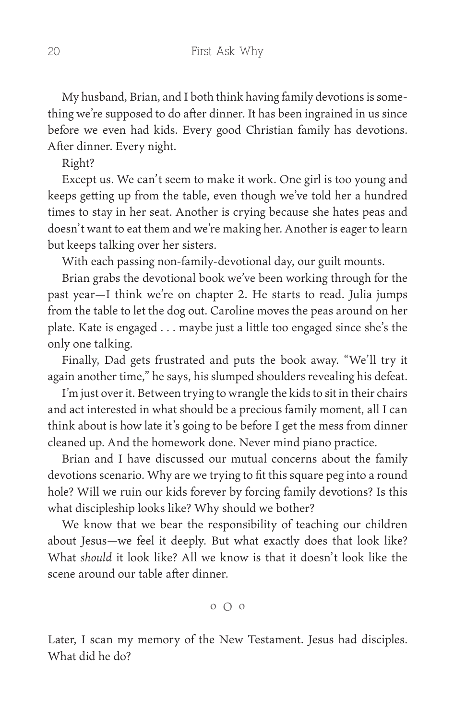My husband, Brian, and I both think having family devotions is something we're supposed to do after dinner. It has been ingrained in us since before we even had kids. Every good Christian family has devotions. After dinner. Every night.

Right?

Except us. We can't seem to make it work. One girl is too young and keeps getting up from the table, even though we've told her a hundred times to stay in her seat. Another is crying because she hates peas and doesn't want to eat them and we're making her. Another is eager to learn but keeps talking over her sisters.

With each passing non-family-devotional day, our guilt mounts.

Brian grabs the devotional book we've been working through for the past year—I think we're on chapter 2. He starts to read. Julia jumps from the table to let the dog out. Caroline moves the peas around on her plate. Kate is engaged . . . maybe just a little too engaged since she's the only one talking.

Finally, Dad gets frustrated and puts the book away. "We'll try it again another time," he says, his slumped shoulders revealing his defeat.

I'm just over it. Between trying to wrangle the kids to sit in their chairs and act interested in what should be a precious family moment, all I can think about is how late it's going to be before I get the mess from dinner cleaned up. And the homework done. Never mind piano practice.

Brian and I have discussed our mutual concerns about the family devotions scenario. Why are we trying to fit this square peg into a round hole? Will we ruin our kids forever by forcing family devotions? Is this what discipleship looks like? Why should we bother?

We know that we bear the responsibility of teaching our children about Jesus—we feel it deeply. But what exactly does that look like? What *should* it look like? All we know is that it doesn't look like the scene around our table after dinner.

o O o

Later, I scan my memory of the New Testament. Jesus had disciples. What did he do?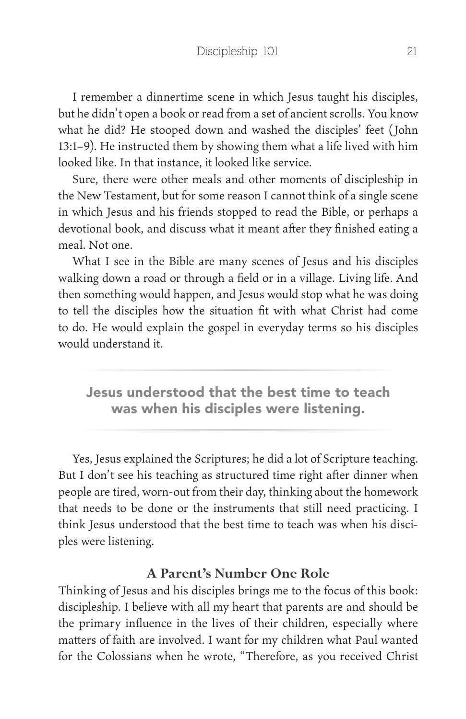I remember a dinnertime scene in which Jesus taught his disciples, but he didn't open a book or read from a set of ancient scrolls. You know what he did? He stooped down and washed the disciples' feet (John 13:1–9). He instructed them by showing them what a life lived with him looked like. In that instance, it looked like service.

Sure, there were other meals and other moments of discipleship in the New Testament, but for some reason I cannot think of a single scene in which Jesus and his friends stopped to read the Bible, or perhaps a devotional book, and discuss what it meant after they finished eating a meal. Not one.

What I see in the Bible are many scenes of Jesus and his disciples walking down a road or through a field or in a village. Living life. And then something would happen, and Jesus would stop what he was doing to tell the disciples how the situation fit with what Christ had come to do. He would explain the gospel in everyday terms so his disciples would understand it.

Jesus understood that the best time to teach was when his disciples were listening.

Yes, Jesus explained the Scriptures; he did a lot of Scripture teaching. But I don't see his teaching as structured time right after dinner when people are tired, worn-out from their day, thinking about the homework that needs to be done or the instruments that still need practicing. I think Jesus understood that the best time to teach was when his disciples were listening.

### **A Parent's Number One Role**

Thinking of Jesus and his disciples brings me to the focus of this book: discipleship. I believe with all my heart that parents are and should be the primary influence in the lives of their children, especially where matters of faith are involved. I want for my children what Paul wanted for the Colossians when he wrote, "Therefore, as you received Christ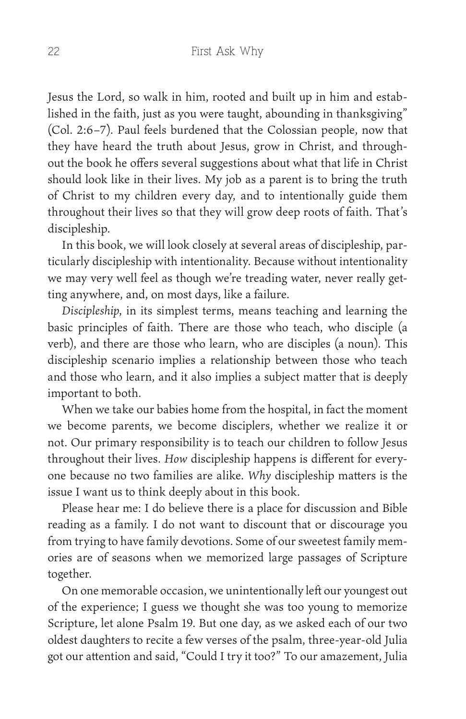Jesus the Lord, so walk in him, rooted and built up in him and established in the faith, just as you were taught, abounding in thanksgiving" (Col. 2:6–7). Paul feels burdened that the Colossian people, now that they have heard the truth about Jesus, grow in Christ, and throughout the book he offers several suggestions about what that life in Christ should look like in their lives. My job as a parent is to bring the truth of Christ to my children every day, and to intentionally guide them throughout their lives so that they will grow deep roots of faith. That's discipleship.

In this book, we will look closely at several areas of discipleship, particularly discipleship with intentionality. Because without intentionality we may very well feel as though we're treading water, never really getting anywhere, and, on most days, like a failure.

*Discipleship*, in its simplest terms, means teaching and learning the basic principles of faith. There are those who teach, who disciple (a verb), and there are those who learn, who are disciples (a noun). This discipleship scenario implies a relationship between those who teach and those who learn, and it also implies a subject matter that is deeply important to both.

When we take our babies home from the hospital, in fact the moment we become parents, we become disciplers, whether we realize it or not. Our primary responsibility is to teach our children to follow Jesus throughout their lives. *How* discipleship happens is different for everyone because no two families are alike. *Why* discipleship matters is the issue I want us to think deeply about in this book.

Please hear me: I do believe there is a place for discussion and Bible reading as a family. I do not want to discount that or discourage you from trying to have family devotions. Some of our sweetest family memories are of seasons when we memorized large passages of Scripture together.

On one memorable occasion, we unintentionally left our youngest out of the experience; I guess we thought she was too young to memorize Scripture, let alone Psalm 19. But one day, as we asked each of our two oldest daughters to recite a few verses of the psalm, three-year-old Julia got our attention and said, "Could I try it too?" To our amazement, Julia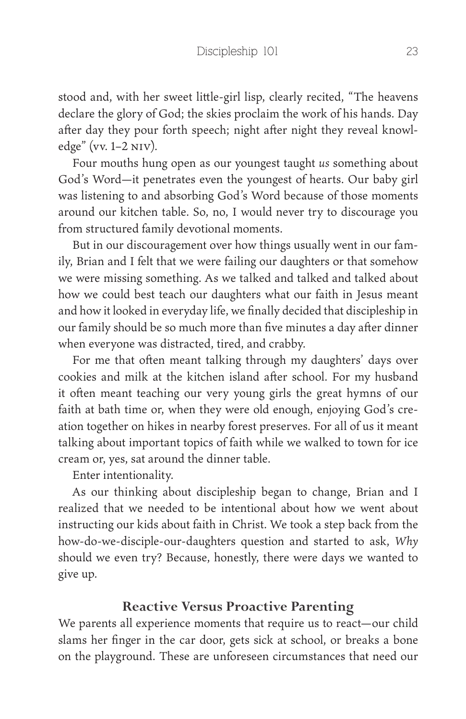stood and, with her sweet little-girl lisp, clearly recited, "The heavens declare the glory of God; the skies proclaim the work of his hands. Day after day they pour forth speech; night after night they reveal knowledge" (vv. 1–2 niv).

Four mouths hung open as our youngest taught *us* something about God's Word—it penetrates even the youngest of hearts. Our baby girl was listening to and absorbing God's Word because of those moments around our kitchen table. So, no, I would never try to discourage you from structured family devotional moments.

But in our discouragement over how things usually went in our family, Brian and I felt that we were failing our daughters or that somehow we were missing something. As we talked and talked and talked about how we could best teach our daughters what our faith in Jesus meant and how it looked in everyday life, we finally decided that discipleship in our family should be so much more than five minutes a day after dinner when everyone was distracted, tired, and crabby.

For me that often meant talking through my daughters' days over cookies and milk at the kitchen island after school. For my husband it often meant teaching our very young girls the great hymns of our faith at bath time or, when they were old enough, enjoying God's creation together on hikes in nearby forest preserves. For all of us it meant talking about important topics of faith while we walked to town for ice cream or, yes, sat around the dinner table.

Enter intentionality.

As our thinking about discipleship began to change, Brian and I realized that we needed to be intentional about how we went about instructing our kids about faith in Christ. We took a step back from the how-do-we-disciple-our-daughters question and started to ask, *Why* should we even try? Because, honestly, there were days we wanted to give up.

### **Reactive Versus Proactive Parenting**

We parents all experience moments that require us to react—our child slams her finger in the car door, gets sick at school, or breaks a bone on the playground. These are unforeseen circumstances that need our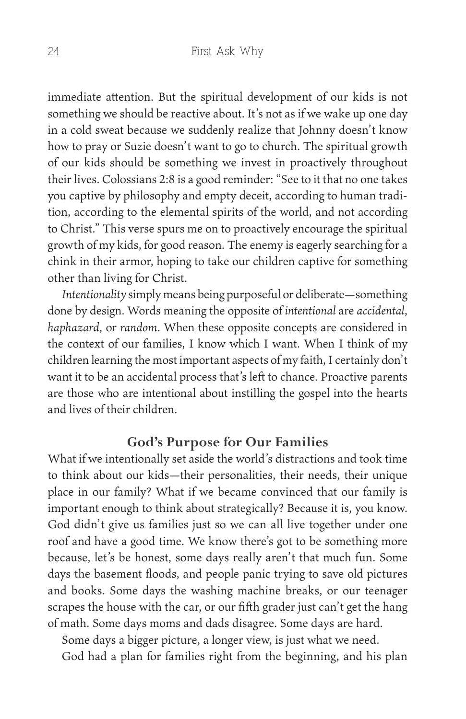immediate attention. But the spiritual development of our kids is not something we should be reactive about. It's not as if we wake up one day in a cold sweat because we suddenly realize that Johnny doesn't know how to pray or Suzie doesn't want to go to church. The spiritual growth of our kids should be something we invest in proactively throughout their lives. Colossians 2:8 is a good reminder: "See to it that no one takes you captive by philosophy and empty deceit, according to human tradition, according to the elemental spirits of the world, and not according to Christ." This verse spurs me on to proactively encourage the spiritual growth of my kids, for good reason. The enemy is eagerly searching for a chink in their armor, hoping to take our children captive for something other than living for Christ.

*Intentionality* simply means being purposeful or deliberate—something done by design. Words meaning the opposite of *intentional* are *accidental*, *haphazard*, or *random*. When these opposite concepts are considered in the context of our families, I know which I want. When I think of my children learning the most important aspects of my faith, I certainly don't want it to be an accidental process that's left to chance. Proactive parents are those who are intentional about instilling the gospel into the hearts and lives of their children.

### **God's Purpose for Our Families**

What if we intentionally set aside the world's distractions and took time to think about our kids—their personalities, their needs, their unique place in our family? What if we became convinced that our family is important enough to think about strategically? Because it is, you know. God didn't give us families just so we can all live together under one roof and have a good time. We know there's got to be something more because, let's be honest, some days really aren't that much fun. Some days the basement floods, and people panic trying to save old pictures and books. Some days the washing machine breaks, or our teenager scrapes the house with the car, or our fifth grader just can't get the hang of math. Some days moms and dads disagree. Some days are hard.

Some days a bigger picture, a longer view, is just what we need. God had a plan for families right from the beginning, and his plan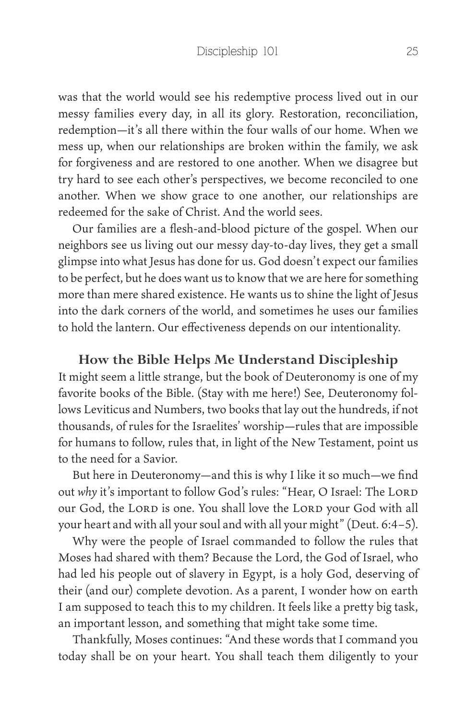was that the world would see his redemptive process lived out in our messy families every day, in all its glory. Restoration, reconciliation, redemption—it's all there within the four walls of our home. When we mess up, when our relationships are broken within the family, we ask for forgiveness and are restored to one another. When we disagree but try hard to see each other's perspectives, we become reconciled to one another. When we show grace to one another, our relationships are redeemed for the sake of Christ. And the world sees.

Our families are a flesh-and-blood picture of the gospel. When our neighbors see us living out our messy day-to-day lives, they get a small glimpse into what Jesus has done for us. God doesn't expect our families to be perfect, but he does want us to know that we are here for something more than mere shared existence. He wants us to shine the light of Jesus into the dark corners of the world, and sometimes he uses our families to hold the lantern. Our effectiveness depends on our intentionality.

**How the Bible Helps Me Understand Discipleship** It might seem a little strange, but the book of Deuteronomy is one of my favorite books of the Bible. (Stay with me here!) See, Deuteronomy follows Leviticus and Numbers, two books that lay out the hundreds, if not thousands, of rules for the Israelites' worship—rules that are impossible for humans to follow, rules that, in light of the New Testament, point us to the need for a Savior.

But here in Deuteronomy—and this is why I like it so much—we find out *why* it's important to follow God's rules: "Hear, O Israel: The LORD our God, the LORD is one. You shall love the LORD your God with all your heart and with all your soul and with all your might" (Deut. 6:4–5).

Why were the people of Israel commanded to follow the rules that Moses had shared with them? Because the Lord, the God of Israel, who had led his people out of slavery in Egypt, is a holy God, deserving of their (and our) complete devotion. As a parent, I wonder how on earth I am supposed to teach this to my children. It feels like a pretty big task, an important lesson, and something that might take some time.

Thankfully, Moses continues: "And these words that I command you today shall be on your heart. You shall teach them diligently to your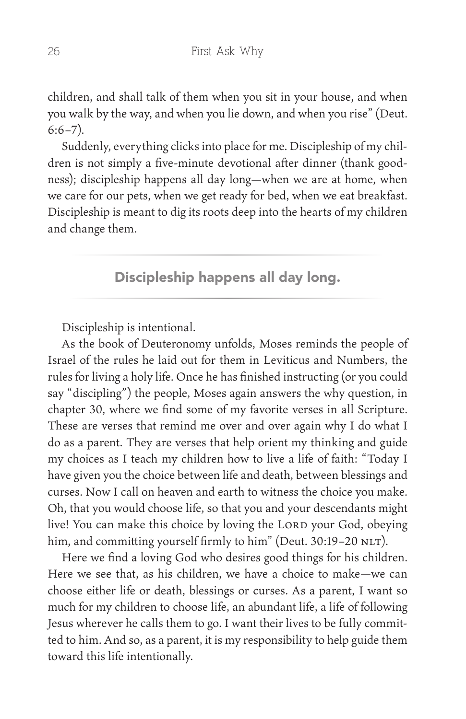children, and shall talk of them when you sit in your house, and when you walk by the way, and when you lie down, and when you rise" (Deut.  $6:6-7$ ).

Suddenly, everything clicks into place for me. Discipleship of my children is not simply a five-minute devotional after dinner (thank goodness); discipleship happens all day long—when we are at home, when we care for our pets, when we get ready for bed, when we eat breakfast. Discipleship is meant to dig its roots deep into the hearts of my children and change them.

Discipleship happens all day long.

Discipleship is intentional.

As the book of Deuteronomy unfolds, Moses reminds the people of Israel of the rules he laid out for them in Leviticus and Numbers, the rules for living a holy life. Once he has finished instructing (or you could say "discipling") the people, Moses again answers the why question, in chapter 30, where we find some of my favorite verses in all Scripture. These are verses that remind me over and over again why I do what I do as a parent. They are verses that help orient my thinking and guide my choices as I teach my children how to live a life of faith: "Today I have given you the choice between life and death, between blessings and curses. Now I call on heaven and earth to witness the choice you make. Oh, that you would choose life, so that you and your descendants might live! You can make this choice by loving the LORD your God, obeying him, and committing yourself firmly to him" (Deut. 30:19-20 NLT).

Here we find a loving God who desires good things for his children. Here we see that, as his children, we have a choice to make—we can choose either life or death, blessings or curses. As a parent, I want so much for my children to choose life, an abundant life, a life of following Jesus wherever he calls them to go. I want their lives to be fully committed to him. And so, as a parent, it is my responsibility to help guide them toward this life intentionally.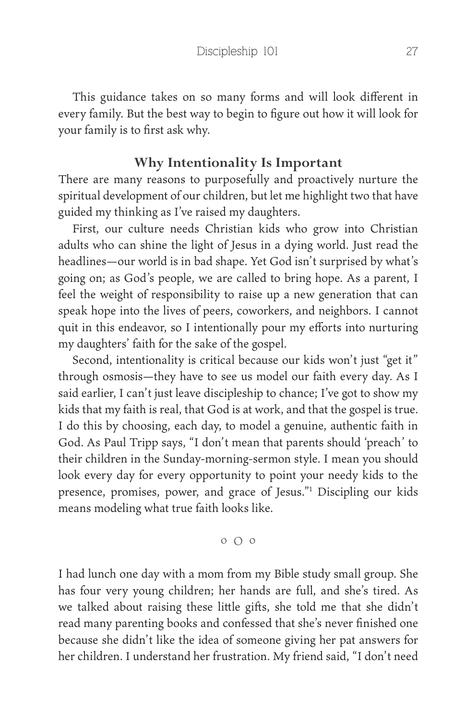This guidance takes on so many forms and will look different in every family. But the best way to begin to figure out how it will look for your family is to first ask why.

### **Why Intentionality Is Important**

There are many reasons to purposefully and proactively nurture the spiritual development of our children, but let me highlight two that have guided my thinking as I've raised my daughters.

First, our culture needs Christian kids who grow into Christian adults who can shine the light of Jesus in a dying world. Just read the headlines—our world is in bad shape. Yet God isn't surprised by what's going on; as God's people, we are called to bring hope. As a parent, I feel the weight of responsibility to raise up a new generation that can speak hope into the lives of peers, coworkers, and neighbors. I cannot quit in this endeavor, so I intentionally pour my efforts into nurturing my daughters' faith for the sake of the gospel.

Second, intentionality is critical because our kids won't just "get it" through osmosis—they have to see us model our faith every day. As I said earlier, I can't just leave discipleship to chance; I've got to show my kids that my faith is real, that God is at work, and that the gospel is true. I do this by choosing, each day, to model a genuine, authentic faith in God. As Paul Tripp says, "I don't mean that parents should 'preach' to their children in the Sunday-morning-sermon style. I mean you should look every day for every opportunity to point your needy kids to the presence, promises, power, and grace of Jesus."1 Discipling our kids means modeling what true faith looks like.

o O o

I had lunch one day with a mom from my Bible study small group. She has four very young children; her hands are full, and she's tired. As we talked about raising these little gifts, she told me that she didn't read many parenting books and confessed that she's never finished one because she didn't like the idea of someone giving her pat answers for her children. I understand her frustration. My friend said, "I don't need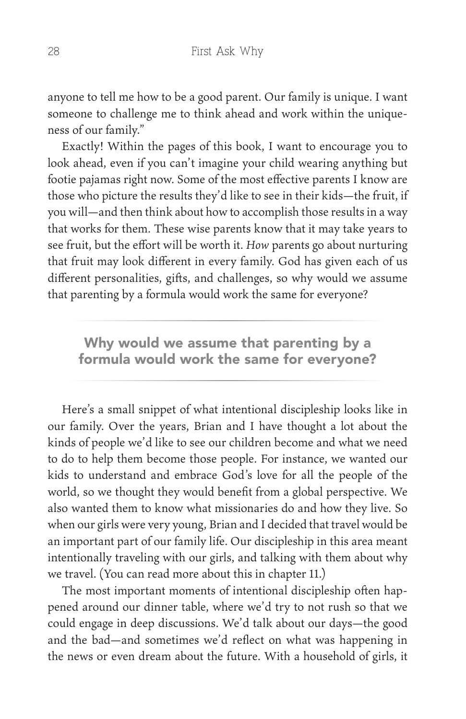anyone to tell me how to be a good parent. Our family is unique. I want someone to challenge me to think ahead and work within the uniqueness of our family."

Exactly! Within the pages of this book, I want to encourage you to look ahead, even if you can't imagine your child wearing anything but footie pajamas right now. Some of the most effective parents I know are those who picture the results they'd like to see in their kids—the fruit, if you will—and then think about how to accomplish those results in a way that works for them. These wise parents know that it may take years to see fruit, but the effort will be worth it. *How* parents go about nurturing that fruit may look different in every family. God has given each of us different personalities, gifts, and challenges, so why would we assume that parenting by a formula would work the same for everyone?

Why would we assume that parenting by a formula would work the same for everyone?

Here's a small snippet of what intentional discipleship looks like in our family. Over the years, Brian and I have thought a lot about the kinds of people we'd like to see our children become and what we need to do to help them become those people. For instance, we wanted our kids to understand and embrace God's love for all the people of the world, so we thought they would benefit from a global perspective. We also wanted them to know what missionaries do and how they live. So when our girls were very young, Brian and I decided that travel would be an important part of our family life. Our discipleship in this area meant intentionally traveling with our girls, and talking with them about why we travel. (You can read more about this in chapter 11.)

The most important moments of intentional discipleship often happened around our dinner table, where we'd try to not rush so that we could engage in deep discussions. We'd talk about our days—the good and the bad—and sometimes we'd reflect on what was happening in the news or even dream about the future. With a household of girls, it